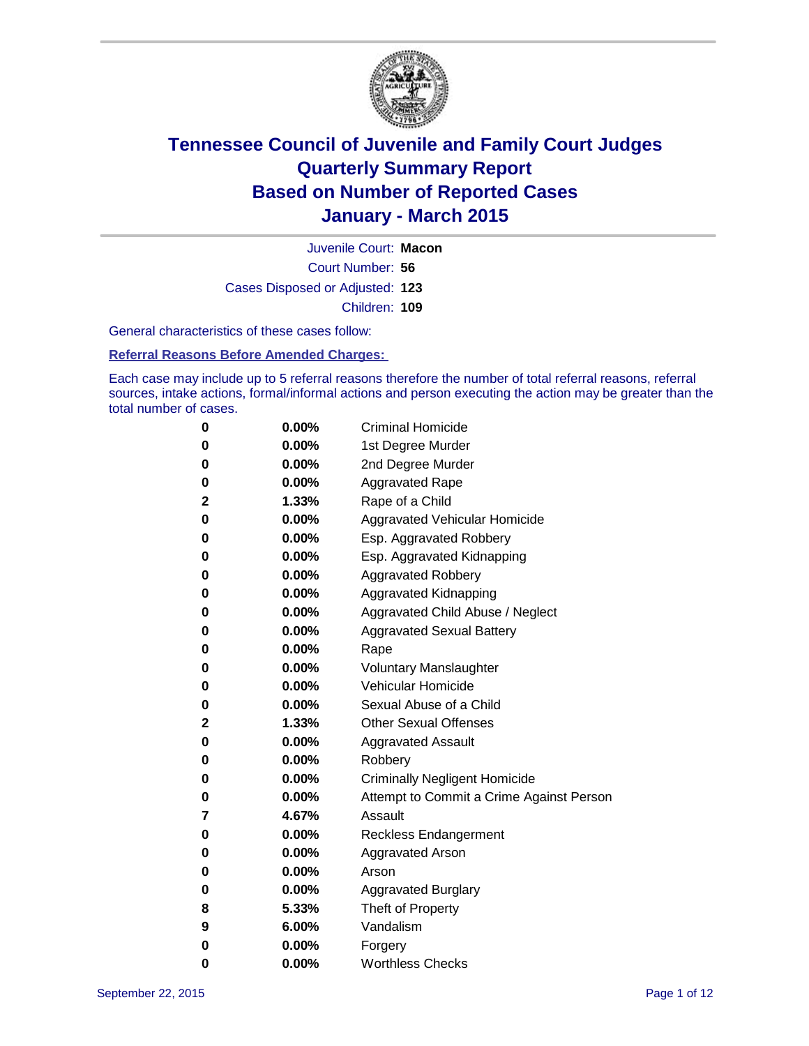

Court Number: **56** Juvenile Court: **Macon** Cases Disposed or Adjusted: **123** Children: **109**

General characteristics of these cases follow:

**Referral Reasons Before Amended Charges:** 

Each case may include up to 5 referral reasons therefore the number of total referral reasons, referral sources, intake actions, formal/informal actions and person executing the action may be greater than the total number of cases.

| 0            | $0.00\%$ | <b>Criminal Homicide</b>                 |  |  |  |
|--------------|----------|------------------------------------------|--|--|--|
| 0            | $0.00\%$ | 1st Degree Murder                        |  |  |  |
| $\bf{0}$     | $0.00\%$ | 2nd Degree Murder                        |  |  |  |
| 0            | $0.00\%$ | <b>Aggravated Rape</b>                   |  |  |  |
| 2            | 1.33%    | Rape of a Child                          |  |  |  |
| $\bf{0}$     | 0.00%    | Aggravated Vehicular Homicide            |  |  |  |
| $\bf{0}$     | $0.00\%$ | Esp. Aggravated Robbery                  |  |  |  |
| 0            | $0.00\%$ | Esp. Aggravated Kidnapping               |  |  |  |
| $\bf{0}$     | $0.00\%$ | <b>Aggravated Robbery</b>                |  |  |  |
| $\bf{0}$     | $0.00\%$ | <b>Aggravated Kidnapping</b>             |  |  |  |
| 0            | 0.00%    | Aggravated Child Abuse / Neglect         |  |  |  |
| 0            | $0.00\%$ | <b>Aggravated Sexual Battery</b>         |  |  |  |
| $\bf{0}$     | $0.00\%$ | Rape                                     |  |  |  |
| 0            | $0.00\%$ | <b>Voluntary Manslaughter</b>            |  |  |  |
| 0            | $0.00\%$ | <b>Vehicular Homicide</b>                |  |  |  |
| $\bf{0}$     | $0.00\%$ | Sexual Abuse of a Child                  |  |  |  |
| $\mathbf{2}$ | 1.33%    | <b>Other Sexual Offenses</b>             |  |  |  |
| $\bf{0}$     | $0.00\%$ | <b>Aggravated Assault</b>                |  |  |  |
| 0            | $0.00\%$ | Robbery                                  |  |  |  |
| $\bf{0}$     | $0.00\%$ | <b>Criminally Negligent Homicide</b>     |  |  |  |
| 0            | $0.00\%$ | Attempt to Commit a Crime Against Person |  |  |  |
| 7            | 4.67%    | Assault                                  |  |  |  |
| $\bf{0}$     | $0.00\%$ | <b>Reckless Endangerment</b>             |  |  |  |
| 0            | $0.00\%$ | <b>Aggravated Arson</b>                  |  |  |  |
| 0            | $0.00\%$ | Arson                                    |  |  |  |
| 0            | $0.00\%$ | <b>Aggravated Burglary</b>               |  |  |  |
| 8            | 5.33%    | Theft of Property                        |  |  |  |
| 9            | 6.00%    | Vandalism                                |  |  |  |
| 0            | $0.00\%$ | Forgery                                  |  |  |  |
| 0            | 0.00%    | <b>Worthless Checks</b>                  |  |  |  |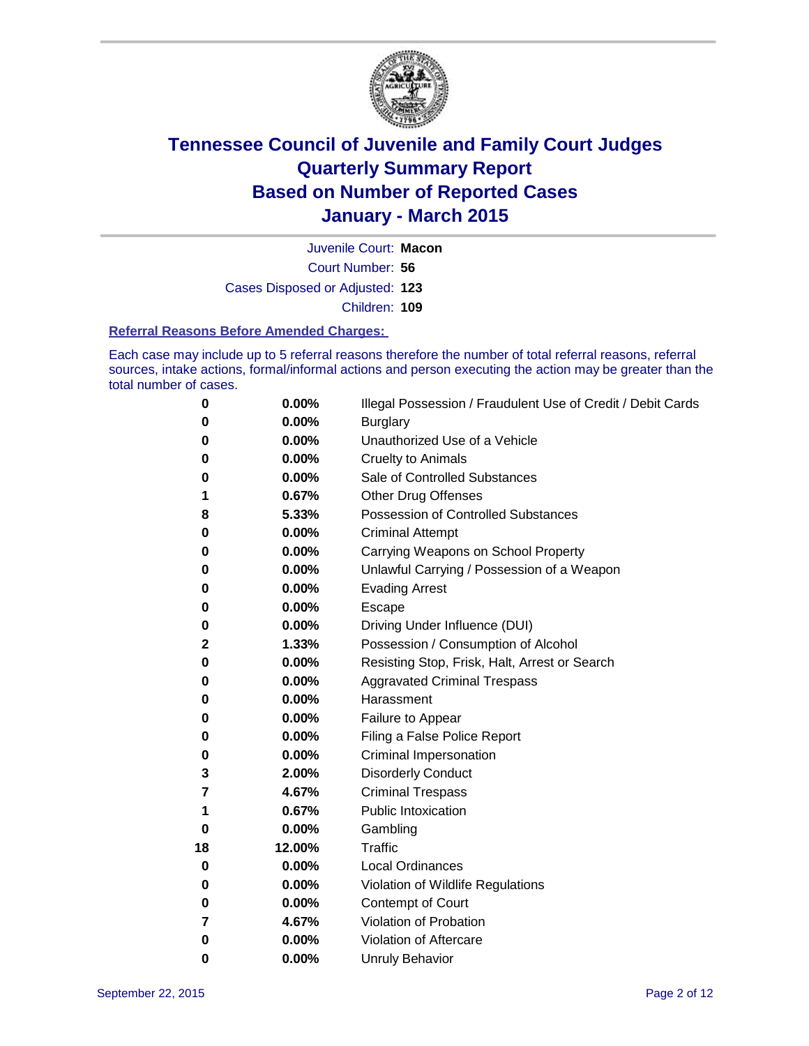

Court Number: **56** Juvenile Court: **Macon** Cases Disposed or Adjusted: **123** Children: **109**

#### **Referral Reasons Before Amended Charges:**

Each case may include up to 5 referral reasons therefore the number of total referral reasons, referral sources, intake actions, formal/informal actions and person executing the action may be greater than the total number of cases.

| 0        | 0.00%  | Illegal Possession / Fraudulent Use of Credit / Debit Cards |
|----------|--------|-------------------------------------------------------------|
| 0        | 0.00%  | <b>Burglary</b>                                             |
| 0        | 0.00%  | Unauthorized Use of a Vehicle                               |
| 0        | 0.00%  | <b>Cruelty to Animals</b>                                   |
| 0        | 0.00%  | Sale of Controlled Substances                               |
| 1        | 0.67%  | Other Drug Offenses                                         |
| 8        | 5.33%  | <b>Possession of Controlled Substances</b>                  |
| 0        | 0.00%  | <b>Criminal Attempt</b>                                     |
| 0        | 0.00%  | Carrying Weapons on School Property                         |
| 0        | 0.00%  | Unlawful Carrying / Possession of a Weapon                  |
| 0        | 0.00%  | <b>Evading Arrest</b>                                       |
| 0        | 0.00%  | Escape                                                      |
| 0        | 0.00%  | Driving Under Influence (DUI)                               |
| 2        | 1.33%  | Possession / Consumption of Alcohol                         |
| 0        | 0.00%  | Resisting Stop, Frisk, Halt, Arrest or Search               |
| 0        | 0.00%  | <b>Aggravated Criminal Trespass</b>                         |
| 0        | 0.00%  | Harassment                                                  |
| 0        | 0.00%  | Failure to Appear                                           |
| 0        | 0.00%  | Filing a False Police Report                                |
| 0        | 0.00%  | <b>Criminal Impersonation</b>                               |
| 3        | 2.00%  | <b>Disorderly Conduct</b>                                   |
| 7        | 4.67%  | <b>Criminal Trespass</b>                                    |
| 1        | 0.67%  | <b>Public Intoxication</b>                                  |
| $\bf{0}$ | 0.00%  | Gambling                                                    |
| 18       | 12.00% | <b>Traffic</b>                                              |
| 0        | 0.00%  | <b>Local Ordinances</b>                                     |
| 0        | 0.00%  | Violation of Wildlife Regulations                           |
| 0        | 0.00%  | Contempt of Court                                           |
| 7        | 4.67%  | Violation of Probation                                      |
| 0        | 0.00%  | Violation of Aftercare                                      |
| 0        | 0.00%  | <b>Unruly Behavior</b>                                      |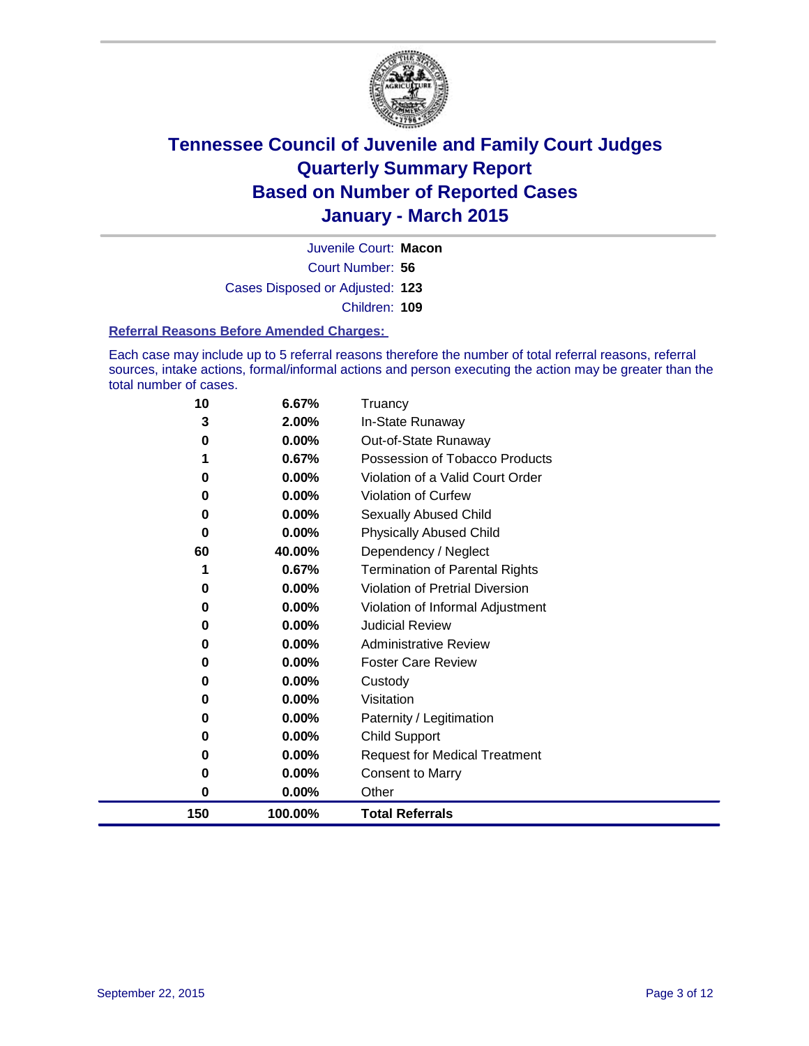

Court Number: **56** Juvenile Court: **Macon** Cases Disposed or Adjusted: **123** Children: **109**

#### **Referral Reasons Before Amended Charges:**

Each case may include up to 5 referral reasons therefore the number of total referral reasons, referral sources, intake actions, formal/informal actions and person executing the action may be greater than the total number of cases.

| 10  | 6.67%   | Truancy                               |
|-----|---------|---------------------------------------|
| 3   | 2.00%   | In-State Runaway                      |
| 0   | 0.00%   | Out-of-State Runaway                  |
|     | 0.67%   | Possession of Tobacco Products        |
| 0   | 0.00%   | Violation of a Valid Court Order      |
| 0   | 0.00%   | <b>Violation of Curfew</b>            |
| 0   | 0.00%   | <b>Sexually Abused Child</b>          |
| 0   | 0.00%   | <b>Physically Abused Child</b>        |
| 60  | 40.00%  | Dependency / Neglect                  |
|     | 0.67%   | <b>Termination of Parental Rights</b> |
| 0   | 0.00%   | Violation of Pretrial Diversion       |
| 0   | 0.00%   | Violation of Informal Adjustment      |
| 0   | 0.00%   | <b>Judicial Review</b>                |
| 0   | 0.00%   | <b>Administrative Review</b>          |
| 0   | 0.00%   | <b>Foster Care Review</b>             |
| 0   | 0.00%   | Custody                               |
| 0   | 0.00%   | Visitation                            |
| 0   | 0.00%   | Paternity / Legitimation              |
| 0   | 0.00%   | Child Support                         |
| 0   | 0.00%   | <b>Request for Medical Treatment</b>  |
| 0   | 0.00%   | <b>Consent to Marry</b>               |
| 0   | 0.00%   | Other                                 |
| 150 | 100.00% | <b>Total Referrals</b>                |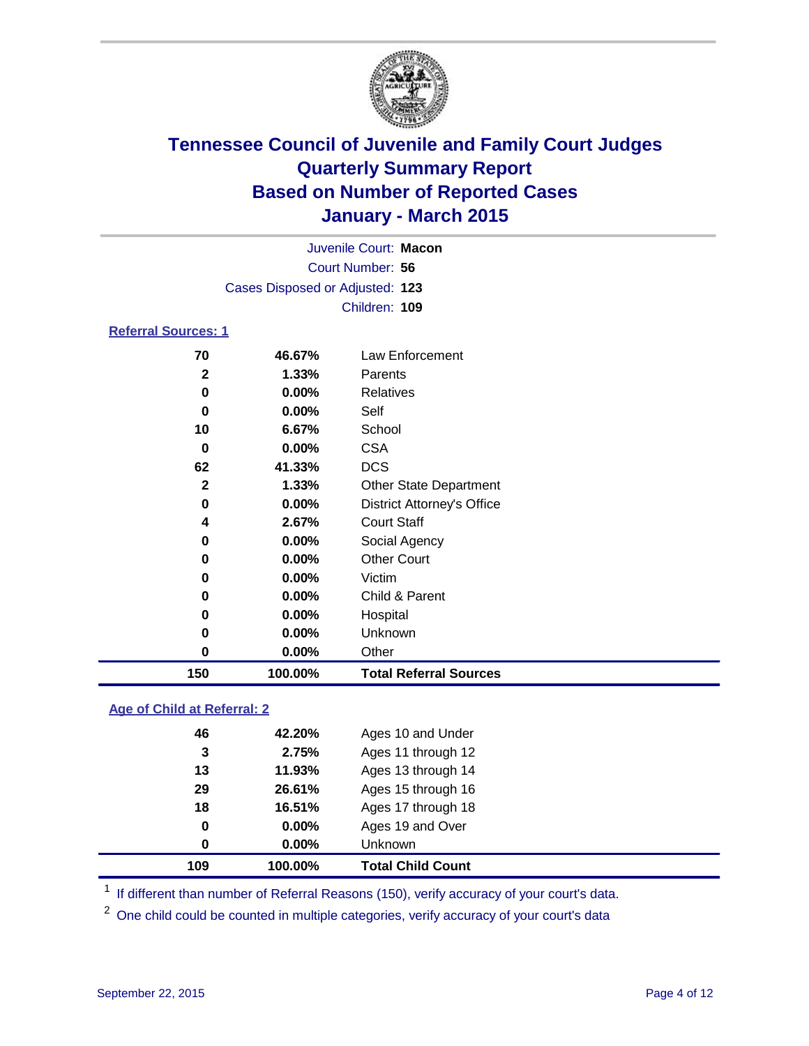

|                            |                                 | Juvenile Court: Macon |  |  |  |
|----------------------------|---------------------------------|-----------------------|--|--|--|
|                            | Court Number: 56                |                       |  |  |  |
|                            | Cases Disposed or Adjusted: 123 |                       |  |  |  |
|                            | Children: 109                   |                       |  |  |  |
| <b>Referral Sources: 1</b> |                                 |                       |  |  |  |
| 70                         | 46.67%                          | Law Enforcement       |  |  |  |
| 2                          | 1.33%                           | Parents               |  |  |  |
| O                          | $0.00\%$                        | <b>Relatives</b>      |  |  |  |

| 150          | 100.00%  | <b>Total Referral Sources</b>     |
|--------------|----------|-----------------------------------|
| 0            | 0.00%    | Other                             |
| 0            | $0.00\%$ | Unknown                           |
| 0            | 0.00%    | Hospital                          |
| 0            | 0.00%    | Child & Parent                    |
| 0            | $0.00\%$ | Victim                            |
| 0            | 0.00%    | <b>Other Court</b>                |
| 0            | 0.00%    | Social Agency                     |
| 4            | 2.67%    | <b>Court Staff</b>                |
| 0            | 0.00%    | <b>District Attorney's Office</b> |
| $\mathbf{2}$ | 1.33%    | <b>Other State Department</b>     |
| 62           | 41.33%   | <b>DCS</b>                        |
| 0            | 0.00%    | <b>CSA</b>                        |
| 10           | 6.67%    | School                            |
| 0            | 0.00%    | Self                              |
| 0            | 0.00%    | <b>Relatives</b>                  |

### **Age of Child at Referral: 2**

| 109 | 100.00%  | <b>Total Child Count</b> |
|-----|----------|--------------------------|
| 0   | $0.00\%$ | <b>Unknown</b>           |
| 0   | $0.00\%$ | Ages 19 and Over         |
| 18  | 16.51%   | Ages 17 through 18       |
| 29  | 26.61%   | Ages 15 through 16       |
| 13  | 11.93%   | Ages 13 through 14       |
| 3   | 2.75%    | Ages 11 through 12       |
| 46  | 42.20%   | Ages 10 and Under        |
|     |          |                          |

<sup>1</sup> If different than number of Referral Reasons (150), verify accuracy of your court's data.

One child could be counted in multiple categories, verify accuracy of your court's data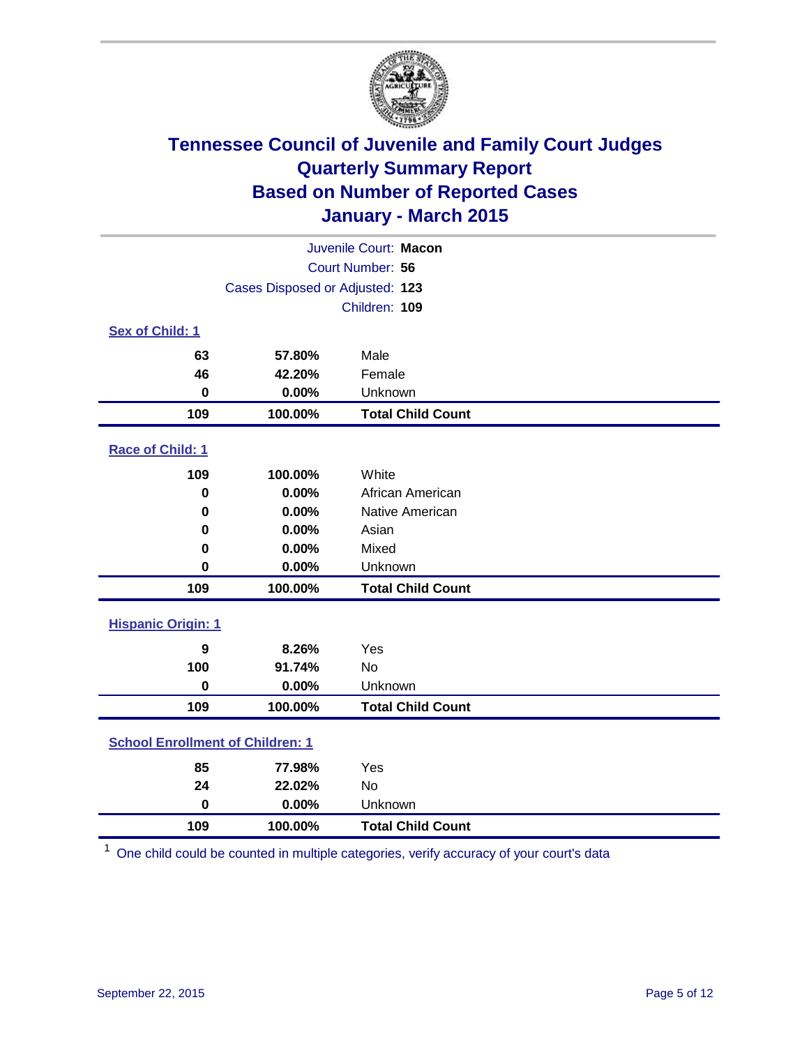

| Juvenile Court: Macon                   |                                 |                          |  |  |
|-----------------------------------------|---------------------------------|--------------------------|--|--|
|                                         | Court Number: 56                |                          |  |  |
|                                         | Cases Disposed or Adjusted: 123 |                          |  |  |
|                                         |                                 | Children: 109            |  |  |
| Sex of Child: 1                         |                                 |                          |  |  |
| 63                                      | 57.80%                          | Male                     |  |  |
| 46                                      | 42.20%                          | Female                   |  |  |
| $\mathbf 0$                             | 0.00%                           | Unknown                  |  |  |
| 109                                     | 100.00%                         | <b>Total Child Count</b> |  |  |
| <b>Race of Child: 1</b>                 |                                 |                          |  |  |
| 109                                     | 100.00%                         | White                    |  |  |
| $\bf{0}$                                | 0.00%                           | African American         |  |  |
| 0                                       | 0.00%                           | Native American          |  |  |
| 0                                       | 0.00%                           | Asian                    |  |  |
| 0                                       | 0.00%                           | Mixed                    |  |  |
| $\mathbf 0$                             | 0.00%                           | Unknown                  |  |  |
| 109                                     | 100.00%                         | <b>Total Child Count</b> |  |  |
| <b>Hispanic Origin: 1</b>               |                                 |                          |  |  |
| 9                                       | 8.26%                           | Yes                      |  |  |
| 100                                     | 91.74%                          | <b>No</b>                |  |  |
| $\mathbf 0$                             | 0.00%                           | Unknown                  |  |  |
| 109                                     | 100.00%                         | <b>Total Child Count</b> |  |  |
| <b>School Enrollment of Children: 1</b> |                                 |                          |  |  |
| 85                                      | 77.98%                          | Yes                      |  |  |
| 24                                      | 22.02%                          | No                       |  |  |
| $\bf{0}$                                | 0.00%                           | Unknown                  |  |  |
| 109                                     | 100.00%                         | <b>Total Child Count</b> |  |  |

One child could be counted in multiple categories, verify accuracy of your court's data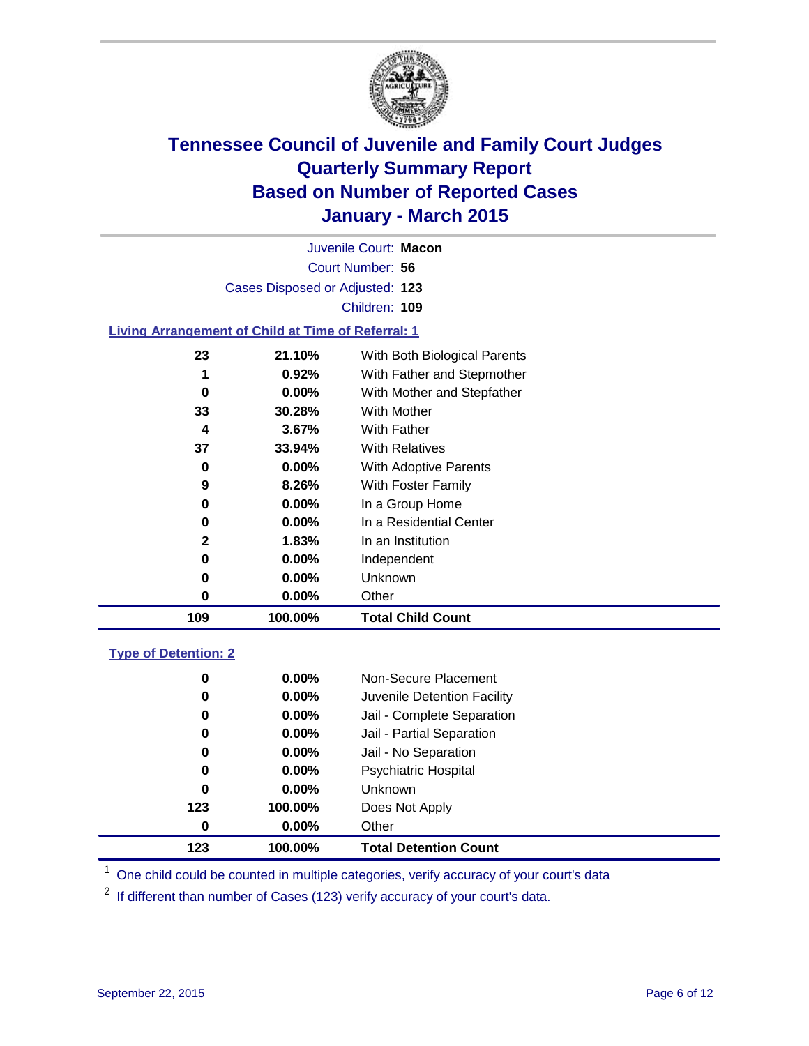

| Juvenile Court: Macon                                     |          |                              |  |  |  |  |
|-----------------------------------------------------------|----------|------------------------------|--|--|--|--|
| Court Number: 56                                          |          |                              |  |  |  |  |
| Cases Disposed or Adjusted: 123                           |          |                              |  |  |  |  |
|                                                           |          | Children: 109                |  |  |  |  |
| <b>Living Arrangement of Child at Time of Referral: 1</b> |          |                              |  |  |  |  |
| 23                                                        | 21.10%   | With Both Biological Parents |  |  |  |  |
| 1                                                         | $0.92\%$ | With Father and Stepmother   |  |  |  |  |
| 0                                                         | $0.00\%$ | With Mother and Stepfather   |  |  |  |  |
| 33                                                        | 30.28%   | <b>With Mother</b>           |  |  |  |  |
| 4                                                         | $3.67\%$ | With Father                  |  |  |  |  |
| 37                                                        | 33.94%   | <b>With Relatives</b>        |  |  |  |  |
| 0                                                         | $0.00\%$ | With Adoptive Parents        |  |  |  |  |
| 9                                                         | 8.26%    | With Foster Family           |  |  |  |  |
| 0                                                         | $0.00\%$ | In a Group Home              |  |  |  |  |
| 0                                                         | $0.00\%$ | In a Residential Center      |  |  |  |  |
| $\mathbf{2}$                                              | 1.83%    | In an Institution            |  |  |  |  |
| 0                                                         | $0.00\%$ | Independent                  |  |  |  |  |

|     | $0.00\%$ | Other                    |
|-----|----------|--------------------------|
| 109 | 100.00%  | <b>Total Child Count</b> |

### **Type of Detention: 2**

| 123 | 100.00%  | <b>Total Detention Count</b> |
|-----|----------|------------------------------|
| 0   | $0.00\%$ | Other                        |
| 123 | 100.00%  | Does Not Apply               |
| 0   | $0.00\%$ | Unknown                      |
| 0   | $0.00\%$ | <b>Psychiatric Hospital</b>  |
| 0   | $0.00\%$ | Jail - No Separation         |
| 0   | $0.00\%$ | Jail - Partial Separation    |
| 0   | $0.00\%$ | Jail - Complete Separation   |
| 0   | $0.00\%$ | Juvenile Detention Facility  |
| 0   | $0.00\%$ | Non-Secure Placement         |

<sup>1</sup> One child could be counted in multiple categories, verify accuracy of your court's data

If different than number of Cases (123) verify accuracy of your court's data.

**0.00%** Unknown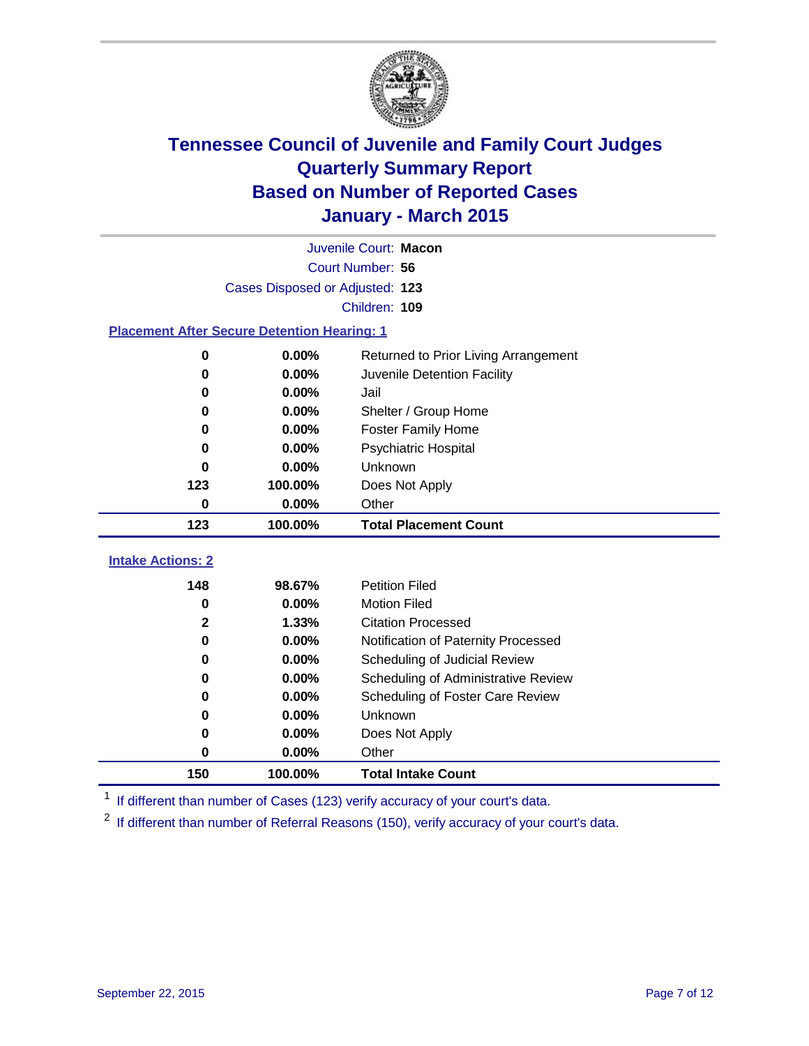

|                                                    | Juvenile Court: Macon           |                                      |  |  |  |
|----------------------------------------------------|---------------------------------|--------------------------------------|--|--|--|
|                                                    | Court Number: 56                |                                      |  |  |  |
|                                                    | Cases Disposed or Adjusted: 123 |                                      |  |  |  |
|                                                    |                                 | Children: 109                        |  |  |  |
| <b>Placement After Secure Detention Hearing: 1</b> |                                 |                                      |  |  |  |
| 0                                                  | $0.00\%$                        | Returned to Prior Living Arrangement |  |  |  |
| 0                                                  | 0.00%                           | Juvenile Detention Facility          |  |  |  |
| 0                                                  | 0.00%                           | Jail                                 |  |  |  |
| 0                                                  | 0.00%                           | Shelter / Group Home                 |  |  |  |
| $\bf{0}$                                           | 0.00%                           | <b>Foster Family Home</b>            |  |  |  |
| 0                                                  | 0.00%                           | <b>Psychiatric Hospital</b>          |  |  |  |
| 0                                                  | 0.00%                           | Unknown                              |  |  |  |
| 123                                                | 100.00%                         | Does Not Apply                       |  |  |  |
| 0                                                  | 0.00%                           | Other                                |  |  |  |
| 123                                                | 100.00%                         | <b>Total Placement Count</b>         |  |  |  |
| <b>Intake Actions: 2</b>                           |                                 |                                      |  |  |  |
| 148                                                | 98.67%                          | <b>Petition Filed</b>                |  |  |  |
| $\bf{0}$                                           | 0.00%                           | <b>Motion Filed</b>                  |  |  |  |
| $\mathbf{2}$                                       | 1.33%                           | <b>Citation Processed</b>            |  |  |  |
| $\bf{0}$                                           | 0.00%                           | Notification of Paternity Processed  |  |  |  |
| $\bf{0}$                                           | 0.00%                           | Scheduling of Judicial Review        |  |  |  |
| 0                                                  | 0.00%                           | Scheduling of Administrative Review  |  |  |  |
| 0                                                  | 0.00%                           | Scheduling of Foster Care Review     |  |  |  |
| 0                                                  | 0.00%                           | Unknown                              |  |  |  |
| 0                                                  | 0.00%                           | Does Not Apply                       |  |  |  |
| $\bf{0}$                                           | 0.00%                           | Other                                |  |  |  |
| 150                                                | 100.00%                         | <b>Total Intake Count</b>            |  |  |  |

<sup>1</sup> If different than number of Cases (123) verify accuracy of your court's data.

If different than number of Referral Reasons (150), verify accuracy of your court's data.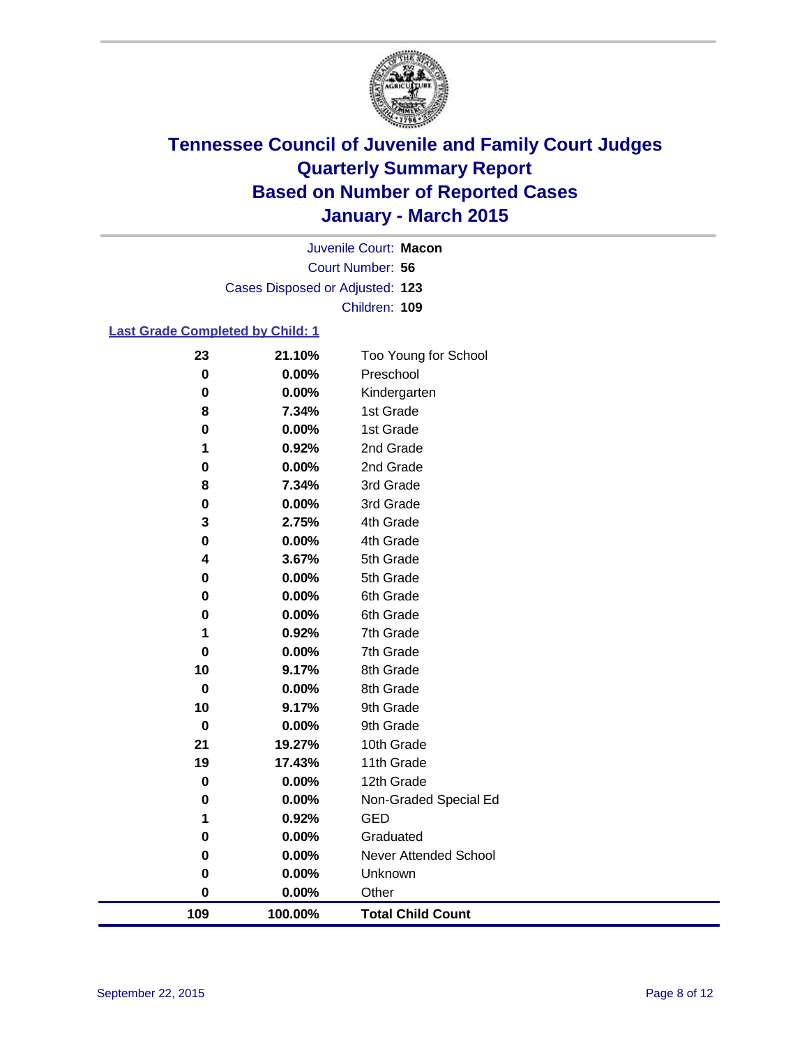

Court Number: **56** Juvenile Court: **Macon** Cases Disposed or Adjusted: **123** Children: **109**

### **Last Grade Completed by Child: 1**

| 109               | 100.00%        | <b>Total Child Count</b> |
|-------------------|----------------|--------------------------|
| 0                 | 0.00%          | Other                    |
| 0                 | 0.00%          | Unknown                  |
| $\bf{0}$          | 0.00%          | Never Attended School    |
| 0                 | 0.00%          | Graduated                |
| 1                 | 0.92%          | <b>GED</b>               |
| $\pmb{0}$         | 0.00%          | Non-Graded Special Ed    |
| 0                 | 0.00%          | 12th Grade               |
| 19                | 17.43%         | 11th Grade               |
| 21                | 19.27%         | 10th Grade               |
| $\mathbf 0$       | 0.00%          | 9th Grade                |
| $\mathbf 0$<br>10 | 0.00%<br>9.17% | 8th Grade<br>9th Grade   |
| 10                | 9.17%          | 8th Grade                |
| $\mathbf 0$       | 0.00%          | 7th Grade                |
| 1                 | 0.92%          | 7th Grade                |
| 0                 | 0.00%          | 6th Grade                |
| $\bf{0}$          | 0.00%          | 6th Grade                |
| 0                 | 0.00%          | 5th Grade                |
| 4                 | 3.67%          | 5th Grade                |
| 0                 | 0.00%          | 4th Grade                |
| 3                 | 2.75%          | 4th Grade                |
| $\pmb{0}$         | 0.00%          | 3rd Grade                |
| 8                 | 7.34%          | 3rd Grade                |
| $\mathbf 0$       | 0.00%          | 2nd Grade                |
| 1                 | 0.92%          | 2nd Grade                |
| 0                 | 0.00%          | 1st Grade                |
| 8                 | 7.34%          | 1st Grade                |
| 0                 | 0.00%          | Kindergarten             |
| $\bf{0}$          | 0.00%          | Preschool                |
| 23                | 21.10%         | Too Young for School     |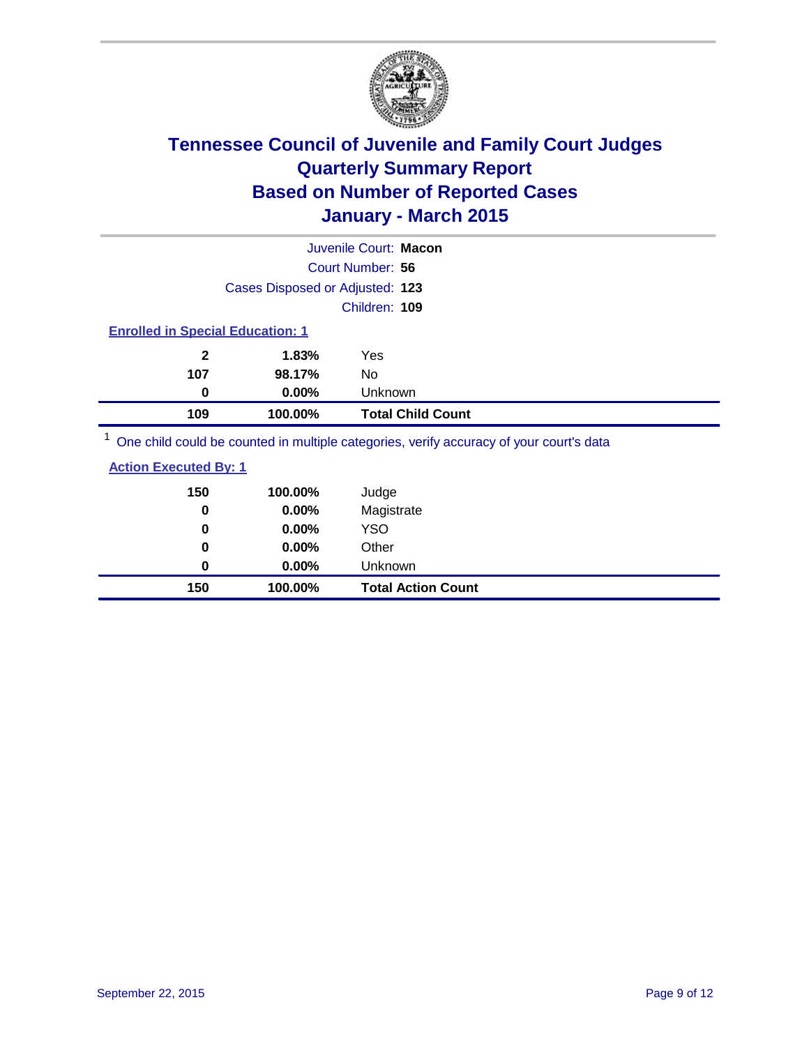

| Juvenile Court: Macon                                                                               |                                 |                          |  |  |
|-----------------------------------------------------------------------------------------------------|---------------------------------|--------------------------|--|--|
|                                                                                                     |                                 | Court Number: 56         |  |  |
|                                                                                                     | Cases Disposed or Adjusted: 123 |                          |  |  |
| Children: 109                                                                                       |                                 |                          |  |  |
| <b>Enrolled in Special Education: 1</b>                                                             |                                 |                          |  |  |
| $\mathbf{2}$                                                                                        | 1.83%                           | Yes                      |  |  |
| 107                                                                                                 | 98.17%                          | No                       |  |  |
| 0                                                                                                   | $0.00\%$                        | <b>Unknown</b>           |  |  |
| 109                                                                                                 | 100.00%                         | <b>Total Child Count</b> |  |  |
| $\frac{1}{2}$ One objet could be counted in multiple estegation verify assumed of your courtle data |                                 |                          |  |  |

<sup>1</sup> One child could be counted in multiple categories, verify accuracy of your court's data

| 150<br>0 | 100.00%<br>0.00% | Judge<br>Magistrate       |
|----------|------------------|---------------------------|
| 0        | $0.00\%$         | <b>YSO</b>                |
| 0        | $0.00\%$         | Other                     |
| 0        | $0.00\%$         | Unknown                   |
| 150      | 100.00%          | <b>Total Action Count</b> |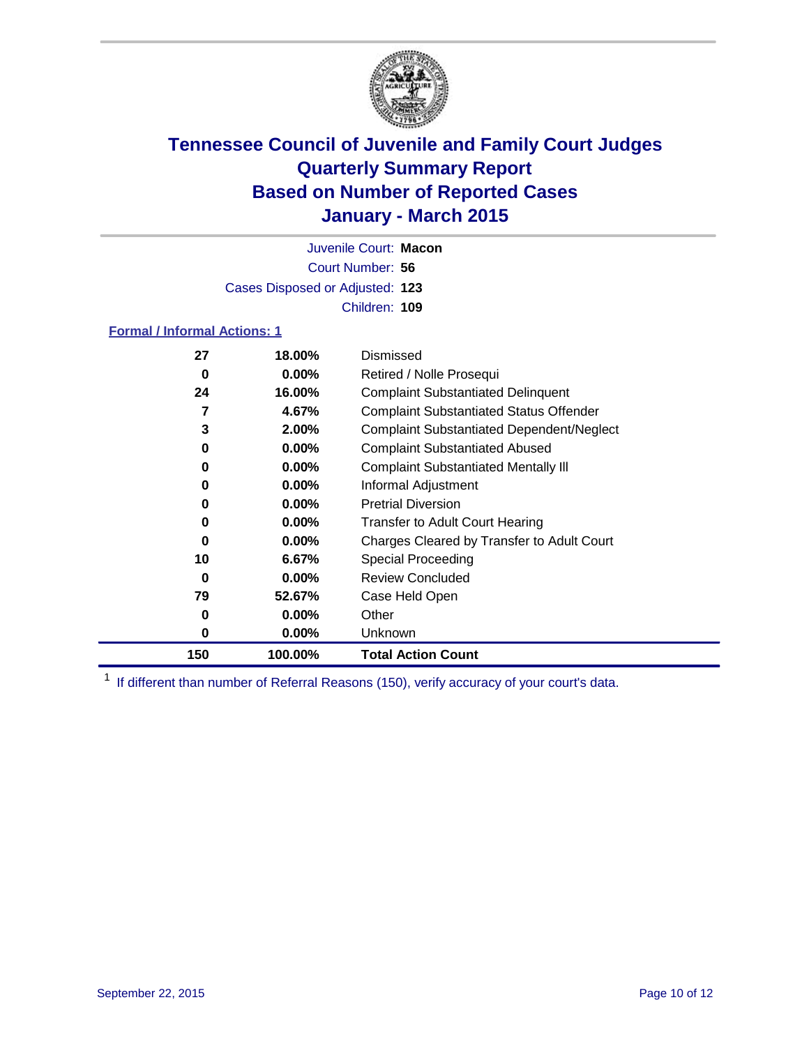

Court Number: **56** Juvenile Court: **Macon** Cases Disposed or Adjusted: **123** Children: **109**

### **Formal / Informal Actions: 1**

| 27  | 18.00%   | Dismissed                                        |
|-----|----------|--------------------------------------------------|
| 0   | $0.00\%$ | Retired / Nolle Prosequi                         |
| 24  | 16.00%   | <b>Complaint Substantiated Delinquent</b>        |
| 7   | 4.67%    | <b>Complaint Substantiated Status Offender</b>   |
| 3   | 2.00%    | <b>Complaint Substantiated Dependent/Neglect</b> |
| 0   | $0.00\%$ | <b>Complaint Substantiated Abused</b>            |
| 0   | $0.00\%$ | <b>Complaint Substantiated Mentally III</b>      |
| 0   | $0.00\%$ | Informal Adjustment                              |
| 0   | $0.00\%$ | <b>Pretrial Diversion</b>                        |
| 0   | $0.00\%$ | <b>Transfer to Adult Court Hearing</b>           |
| 0   | $0.00\%$ | Charges Cleared by Transfer to Adult Court       |
| 10  | 6.67%    | Special Proceeding                               |
| 0   | $0.00\%$ | <b>Review Concluded</b>                          |
| 79  | 52.67%   | Case Held Open                                   |
| 0   | $0.00\%$ | Other                                            |
| 0   | $0.00\%$ | <b>Unknown</b>                                   |
| 150 | 100.00%  | <b>Total Action Count</b>                        |

<sup>1</sup> If different than number of Referral Reasons (150), verify accuracy of your court's data.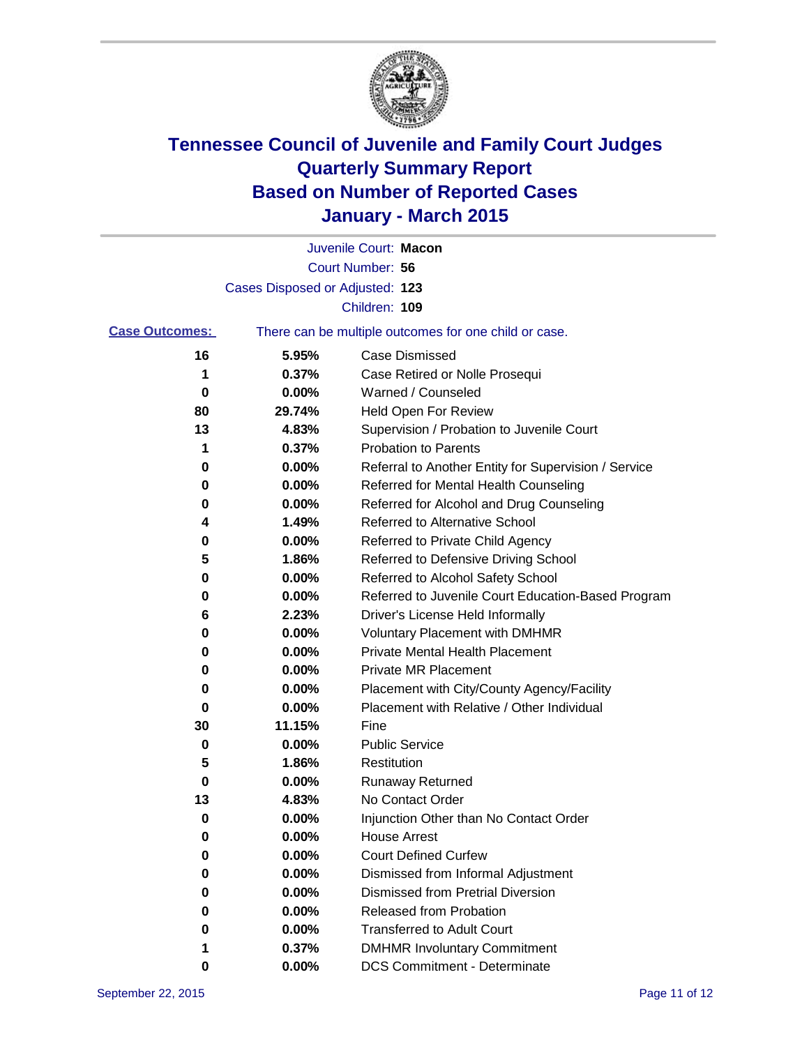

|                       |                                 | Juvenile Court: Macon                                 |
|-----------------------|---------------------------------|-------------------------------------------------------|
|                       |                                 | Court Number: 56                                      |
|                       | Cases Disposed or Adjusted: 123 |                                                       |
|                       |                                 | Children: 109                                         |
| <b>Case Outcomes:</b> |                                 | There can be multiple outcomes for one child or case. |
| 16                    | 5.95%                           | <b>Case Dismissed</b>                                 |
| 1                     | 0.37%                           | Case Retired or Nolle Prosequi                        |
| 0                     | 0.00%                           | Warned / Counseled                                    |
| 80                    | 29.74%                          | Held Open For Review                                  |
| 13                    | 4.83%                           | Supervision / Probation to Juvenile Court             |
| 1                     | 0.37%                           | <b>Probation to Parents</b>                           |
| 0                     | 0.00%                           | Referral to Another Entity for Supervision / Service  |
| 0                     | 0.00%                           | Referred for Mental Health Counseling                 |
| 0                     | 0.00%                           | Referred for Alcohol and Drug Counseling              |
| 4                     | 1.49%                           | <b>Referred to Alternative School</b>                 |
| 0                     | 0.00%                           | Referred to Private Child Agency                      |
| 5                     | 1.86%                           | Referred to Defensive Driving School                  |
| 0                     | 0.00%                           | Referred to Alcohol Safety School                     |
| 0                     | 0.00%                           | Referred to Juvenile Court Education-Based Program    |
| 6                     | 2.23%                           | Driver's License Held Informally                      |
| 0                     | 0.00%                           | <b>Voluntary Placement with DMHMR</b>                 |
| 0                     | 0.00%                           | <b>Private Mental Health Placement</b>                |
| 0                     | 0.00%                           | <b>Private MR Placement</b>                           |
| 0                     | 0.00%                           | Placement with City/County Agency/Facility            |
| 0                     | 0.00%                           | Placement with Relative / Other Individual            |
| 30                    | 11.15%                          | Fine                                                  |
| 0                     | 0.00%                           | <b>Public Service</b>                                 |
| 5                     | 1.86%                           | Restitution                                           |
| 0                     | 0.00%                           | <b>Runaway Returned</b>                               |
| 13                    | 4.83%                           | No Contact Order                                      |
| 0                     | 0.00%                           | Injunction Other than No Contact Order                |
| 0                     | 0.00%                           | <b>House Arrest</b>                                   |
| 0                     | 0.00%                           | <b>Court Defined Curfew</b>                           |
| 0                     | 0.00%                           | Dismissed from Informal Adjustment                    |
| 0                     | 0.00%                           | <b>Dismissed from Pretrial Diversion</b>              |
| 0                     | 0.00%                           | Released from Probation                               |
| 0                     | 0.00%                           | <b>Transferred to Adult Court</b>                     |
|                       | 0.37%                           | <b>DMHMR Involuntary Commitment</b>                   |
| 0                     | $0.00\%$                        | <b>DCS Commitment - Determinate</b>                   |